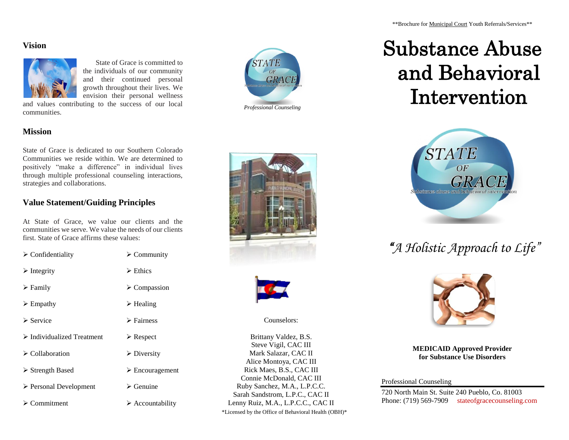#### **Vision**



 State of Grace is committed to the individuals of our community and their continued personal growth throughout their lives. We envision their personal wellness

and values contributing to the success of our local communities.



# Substance Abuse and Behavioral Intervention



# *"A Holistic Approach to Life"*



**MEDICAID Approved Provider for Substance Use Disorders**

Professional Counseling

720 North Main St. Suite 240 Pueblo, Co. 81003 Phone: (719) 569-7909 stateofgracecounseling.com

### **Mission**

State of Grace is dedicated to our Southern Colorado Communities we reside within. We are determined to positively "make a difference" in individual lives through multiple professional counseling interactions, strategies and collaborations.

## **Value Statement/Guiding Principles**

At State of Grace, we value our clients and the communities we serve. We value the needs of our clients first. State of Grace affirms these values:

| $\triangleright$ Confidentiality          | $\triangleright$ Community      |
|-------------------------------------------|---------------------------------|
| $\triangleright$ Integrity                | $\triangleright$ Ethics         |
| $\triangleright$ Family                   | $\triangleright$ Compassion     |
| $\triangleright$ Empathy                  | $\triangleright$ Healing        |
| $\triangleright$ Service                  | $\triangleright$ Fairness       |
| $\triangleright$ Individualized Treatment | $\triangleright$ Respect        |
| $\triangleright$ Collaboration            | $\triangleright$ Diversity      |
| > Strength Based                          | $\triangleright$ Encouragement  |
| $\triangleright$ Personal Development     | $\triangleright$ Genuine        |
| $\triangleright$ Commitment               | $\triangleright$ Accountability |





Counselors:

Brittany Valdez, B.S. Steve Vigil, CAC III Mark Salazar, CAC II Alice Montoya, CAC III Rick Maes, B.S., CAC III Connie McDonald, CAC III Ruby Sanchez, M.A., L.P.C.C. Sarah Sandstrom, L.P.C., CAC II Lenny Ruiz, M.A., L.P.C.C., CAC II \*Licensed by the Office of Behavioral Health (OBH)\*